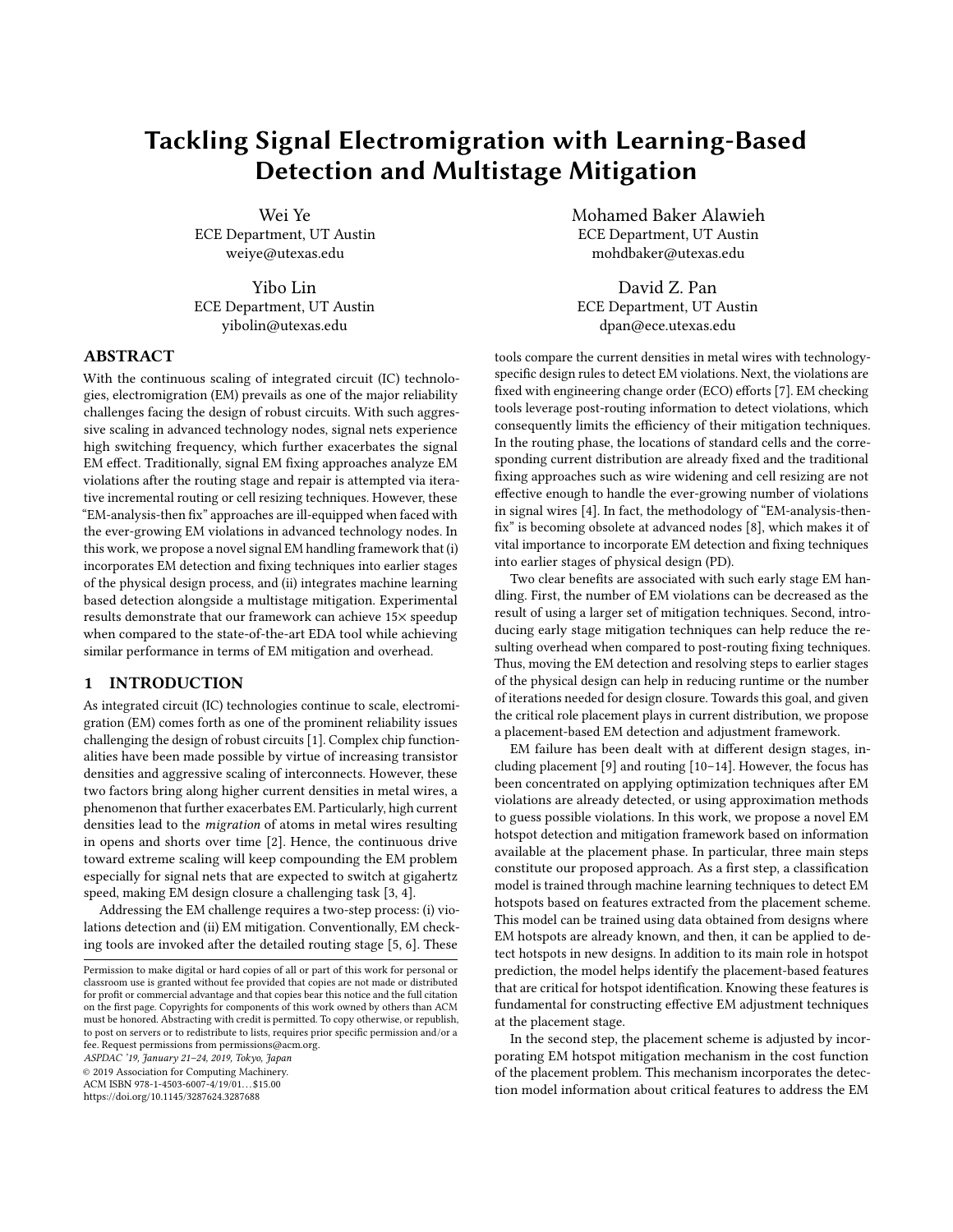# Tackling Signal Electromigration with Learning-Based Detection and Multistage Mitigation

Wei Ye ECE Department, UT Austin weiye@utexas.edu

Yibo Lin ECE Department, UT Austin yibolin@utexas.edu

## ABSTRACT

With the continuous scaling of integrated circuit (IC) technologies, electromigration (EM) prevails as one of the major reliability challenges facing the design of robust circuits. With such aggressive scaling in advanced technology nodes, signal nets experience high switching frequency, which further exacerbates the signal EM effect. Traditionally, signal EM fixing approaches analyze EM violations after the routing stage and repair is attempted via iterative incremental routing or cell resizing techniques. However, these "EM-analysis-then fix" approaches are ill-equipped when faced with the ever-growing EM violations in advanced technology nodes. In this work, we propose a novel signal EM handling framework that (i) incorporates EM detection and fixing techniques into earlier stages of the physical design process, and (ii) integrates machine learning based detection alongside a multistage mitigation. Experimental results demonstrate that our framework can achieve 15× speedup when compared to the state-of-the-art EDA tool while achieving similar performance in terms of EM mitigation and overhead.

## 1 INTRODUCTION

As integrated circuit (IC) technologies continue to scale, electromigration (EM) comes forth as one of the prominent reliability issues challenging the design of robust circuits [\[1\]](#page-5-0). Complex chip functionalities have been made possible by virtue of increasing transistor densities and aggressive scaling of interconnects. However, these two factors bring along higher current densities in metal wires, a phenomenon that further exacerbates EM. Particularly, high current densities lead to the migration of atoms in metal wires resulting in opens and shorts over time [\[2\]](#page-5-1). Hence, the continuous drive toward extreme scaling will keep compounding the EM problem especially for signal nets that are expected to switch at gigahertz speed, making EM design closure a challenging task [\[3,](#page-5-2) [4\]](#page-5-3).

Addressing the EM challenge requires a two-step process: (i) violations detection and (ii) EM mitigation. Conventionally, EM checking tools are invoked after the detailed routing stage [\[5,](#page-5-4) [6\]](#page-5-5). These

ASPDAC '19, January 21–24, 2019, Tokyo, Japan

© 2019 Association for Computing Machinery.

ACM ISBN 978-1-4503-6007-4/19/01. . . \$15.00

<https://doi.org/10.1145/3287624.3287688>

Mohamed Baker Alawieh ECE Department, UT Austin mohdbaker@utexas.edu

David Z. Pan ECE Department, UT Austin dpan@ece.utexas.edu

tools compare the current densities in metal wires with technologyspecific design rules to detect EM violations. Next, the violations are fixed with engineering change order (ECO) efforts [\[7\]](#page-5-6). EM checking tools leverage post-routing information to detect violations, which consequently limits the efficiency of their mitigation techniques. In the routing phase, the locations of standard cells and the corresponding current distribution are already fixed and the traditional fixing approaches such as wire widening and cell resizing are not effective enough to handle the ever-growing number of violations in signal wires [\[4\]](#page-5-3). In fact, the methodology of "EM-analysis-thenfix" is becoming obsolete at advanced nodes [\[8\]](#page-5-7), which makes it of vital importance to incorporate EM detection and fixing techniques into earlier stages of physical design (PD).

Two clear benefits are associated with such early stage EM handling. First, the number of EM violations can be decreased as the result of using a larger set of mitigation techniques. Second, introducing early stage mitigation techniques can help reduce the resulting overhead when compared to post-routing fixing techniques. Thus, moving the EM detection and resolving steps to earlier stages of the physical design can help in reducing runtime or the number of iterations needed for design closure. Towards this goal, and given the critical role placement plays in current distribution, we propose a placement-based EM detection and adjustment framework.

EM failure has been dealt with at different design stages, including placement [\[9\]](#page-5-8) and routing [\[10](#page-5-9)[–14\]](#page-5-10). However, the focus has been concentrated on applying optimization techniques after EM violations are already detected, or using approximation methods to guess possible violations. In this work, we propose a novel EM hotspot detection and mitigation framework based on information available at the placement phase. In particular, three main steps constitute our proposed approach. As a first step, a classification model is trained through machine learning techniques to detect EM hotspots based on features extracted from the placement scheme. This model can be trained using data obtained from designs where EM hotspots are already known, and then, it can be applied to detect hotspots in new designs. In addition to its main role in hotspot prediction, the model helps identify the placement-based features that are critical for hotspot identification. Knowing these features is fundamental for constructing effective EM adjustment techniques at the placement stage.

In the second step, the placement scheme is adjusted by incorporating EM hotspot mitigation mechanism in the cost function of the placement problem. This mechanism incorporates the detection model information about critical features to address the EM

Permission to make digital or hard copies of all or part of this work for personal or classroom use is granted without fee provided that copies are not made or distributed for profit or commercial advantage and that copies bear this notice and the full citation on the first page. Copyrights for components of this work owned by others than ACM must be honored. Abstracting with credit is permitted. To copy otherwise, or republish, to post on servers or to redistribute to lists, requires prior specific permission and/or a fee. Request permissions from permissions@acm.org.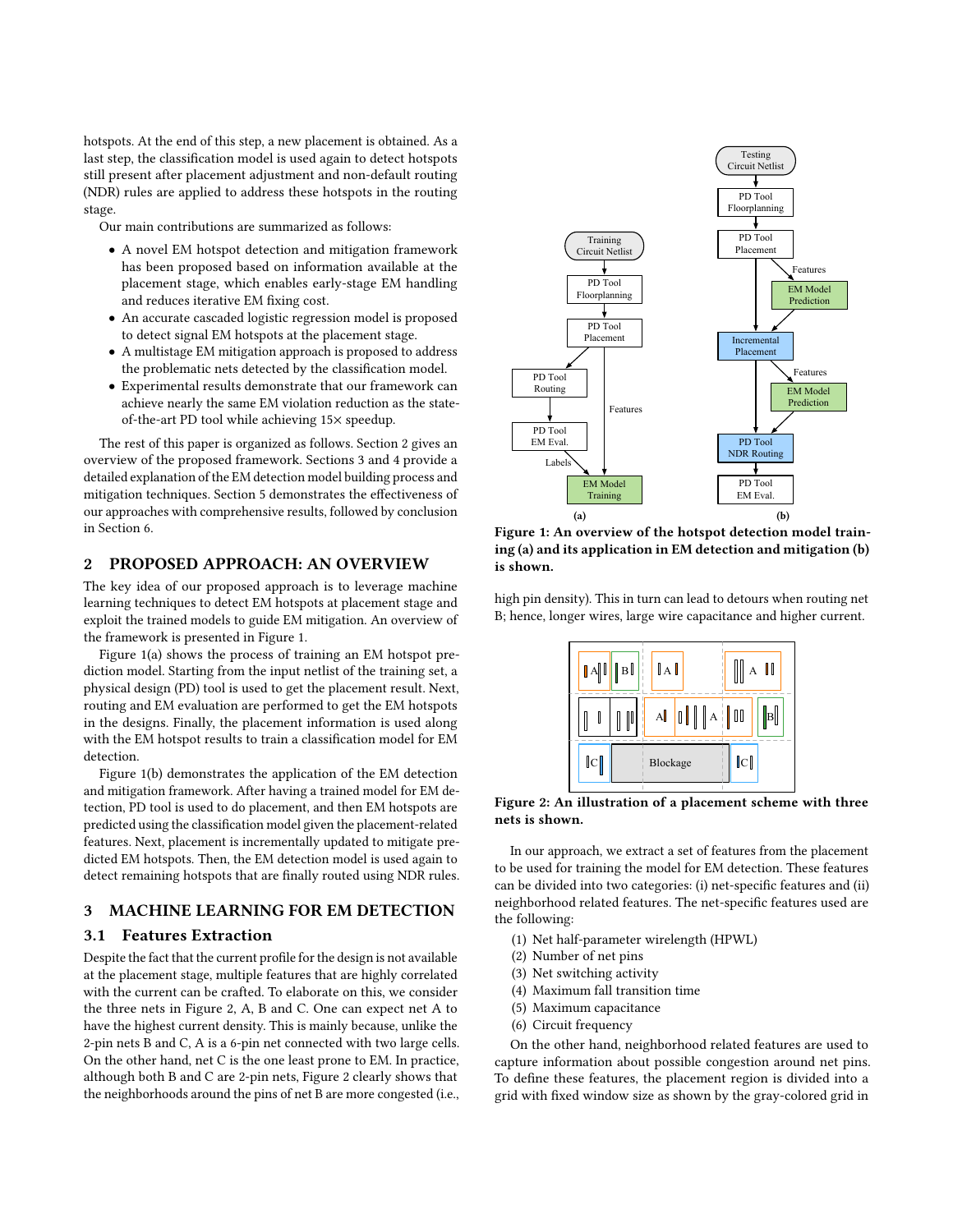hotspots. At the end of this step, a new placement is obtained. As a last step, the classification model is used again to detect hotspots still present after placement adjustment and non-default routing (NDR) rules are applied to address these hotspots in the routing stage.

Our main contributions are summarized as follows:

- A novel EM hotspot detection and mitigation framework has been proposed based on information available at the placement stage, which enables early-stage EM handling and reduces iterative EM fixing cost.
- An accurate cascaded logistic regression model is proposed to detect signal EM hotspots at the placement stage.
- A multistage EM mitigation approach is proposed to address the problematic nets detected by the classification model.
- Experimental results demonstrate that our framework can achieve nearly the same EM violation reduction as the stateof-the-art PD tool while achieving 15× speedup.

The rest of this paper is organized as follows. Section [2](#page-1-0) gives an overview of the proposed framework. Sections [3](#page-1-1) and [4](#page-3-0) provide a detailed explanation of the EM detection model building process and mitigation techniques. Section [5](#page-3-1) demonstrates the effectiveness of our approaches with comprehensive results, followed by conclusion in Section [6.](#page-4-0)

# 2 PROPOSED APPROACH: AN OVERVIEW

The key idea of our proposed approach is to leverage machine learning techniques to detect EM hotspots at placement stage and exploit the trained models to guide EM mitigation. An overview of the framework is presented in Figure [1.](#page-1-0)

Figure [1\(a\)](#page-1-2) shows the process of training an EM hotspot prediction model. Starting from the input netlist of the training set, a physical design (PD) tool is used to get the placement result. Next, routing and EM evaluation are performed to get the EM hotspots in the designs. Finally, the placement information is used along with the EM hotspot results to train a classification model for EM detection.

Figure [1\(b\)](#page-1-3) demonstrates the application of the EM detection and mitigation framework. After having a trained model for EM detection, PD tool is used to do placement, and then EM hotspots are predicted using the classification model given the placement-related features. Next, placement is incrementally updated to mitigate predicted EM hotspots. Then, the EM detection model is used again to detect remaining hotspots that are finally routed using NDR rules.

# <span id="page-1-1"></span>3 MACHINE LEARNING FOR EM DETECTION

## 3.1 Features Extraction

Despite the fact that the current profile for the design is not available at the placement stage, multiple features that are highly correlated with the current can be crafted. To elaborate on this, we consider the three nets in Figure [2,](#page-1-4) A, B and C. One can expect net A to have the highest current density. This is mainly because, unlike the 2-pin nets B and C, A is a 6-pin net connected with two large cells. On the other hand, net C is the one least prone to EM. In practice, although both B and C are 2-pin nets, Figure [2](#page-1-4) clearly shows that the neighborhoods around the pins of net B are more congested (i.e.,

<span id="page-1-2"></span><span id="page-1-0"></span>

<span id="page-1-3"></span>Figure 1: An overview of the hotspot detection model training (a) and its application in EM detection and mitigation (b) is shown.

high pin density). This in turn can lead to detours when routing net B; hence, longer wires, large wire capacitance and higher current.

<span id="page-1-4"></span>

Figure 2: An illustration of a placement scheme with three nets is shown.

In our approach, we extract a set of features from the placement to be used for training the model for EM detection. These features can be divided into two categories: (i) net-specific features and (ii) neighborhood related features. The net-specific features used are the following:

- (1) Net half-parameter wirelength (HPWL)
- (2) Number of net pins
- (3) Net switching activity
- (4) Maximum fall transition time
- (5) Maximum capacitance
- (6) Circuit frequency

On the other hand, neighborhood related features are used to capture information about possible congestion around net pins. To define these features, the placement region is divided into a grid with fixed window size as shown by the gray-colored grid in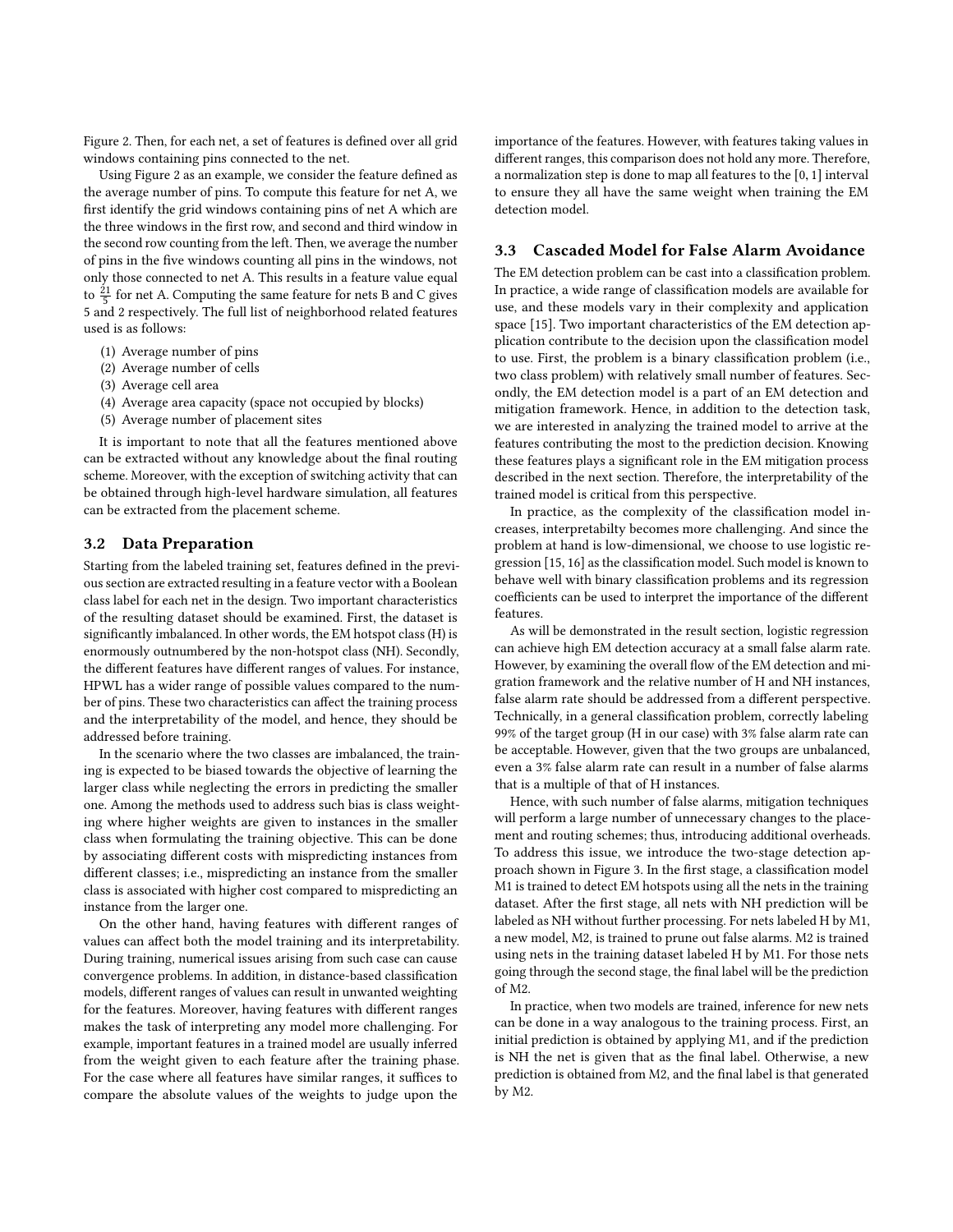Figure [2.](#page-1-4) Then, for each net, a set of features is defined over all grid windows containing pins connected to the net.

Using Figure [2](#page-1-4) as an example, we consider the feature defined as the average number of pins. To compute this feature for net A, we first identify the grid windows containing pins of net A which are the three windows in the first row, and second and third window in the second row counting from the left. Then, we average the number of pins in the five windows counting all pins in the windows, not only those connected to net A. This results in a feature value equal to  $\frac{21}{5}$  for net A. Computing the same feature for nets B and C gives 5 and 2 respectively. The full list of neighborhood related features used is as follows:

- (1) Average number of pins
- (2) Average number of cells
- (3) Average cell area
- (4) Average area capacity (space not occupied by blocks)
- (5) Average number of placement sites

It is important to note that all the features mentioned above can be extracted without any knowledge about the final routing scheme. Moreover, with the exception of switching activity that can be obtained through high-level hardware simulation, all features can be extracted from the placement scheme.

#### 3.2 Data Preparation

Starting from the labeled training set, features defined in the previous section are extracted resulting in a feature vector with a Boolean class label for each net in the design. Two important characteristics of the resulting dataset should be examined. First, the dataset is significantly imbalanced. In other words, the EM hotspot class (H) is enormously outnumbered by the non-hotspot class (NH). Secondly, the different features have different ranges of values. For instance, HPWL has a wider range of possible values compared to the number of pins. These two characteristics can affect the training process and the interpretability of the model, and hence, they should be addressed before training.

In the scenario where the two classes are imbalanced, the training is expected to be biased towards the objective of learning the larger class while neglecting the errors in predicting the smaller one. Among the methods used to address such bias is class weighting where higher weights are given to instances in the smaller class when formulating the training objective. This can be done by associating different costs with mispredicting instances from different classes; i.e., mispredicting an instance from the smaller class is associated with higher cost compared to mispredicting an instance from the larger one.

On the other hand, having features with different ranges of values can affect both the model training and its interpretability. During training, numerical issues arising from such case can cause convergence problems. In addition, in distance-based classification models, different ranges of values can result in unwanted weighting for the features. Moreover, having features with different ranges makes the task of interpreting any model more challenging. For example, important features in a trained model are usually inferred from the weight given to each feature after the training phase. For the case where all features have similar ranges, it suffices to compare the absolute values of the weights to judge upon the

importance of the features. However, with features taking values in different ranges, this comparison does not hold any more. Therefore, a normalization step is done to map all features to the [0, <sup>1</sup>] interval to ensure they all have the same weight when training the EM detection model.

## <span id="page-2-0"></span>3.3 Cascaded Model for False Alarm Avoidance

The EM detection problem can be cast into a classification problem. In practice, a wide range of classification models are available for use, and these models vary in their complexity and application space [\[15\]](#page-5-11). Two important characteristics of the EM detection application contribute to the decision upon the classification model to use. First, the problem is a binary classification problem (i.e., two class problem) with relatively small number of features. Secondly, the EM detection model is a part of an EM detection and mitigation framework. Hence, in addition to the detection task, we are interested in analyzing the trained model to arrive at the features contributing the most to the prediction decision. Knowing these features plays a significant role in the EM mitigation process described in the next section. Therefore, the interpretability of the trained model is critical from this perspective.

In practice, as the complexity of the classification model increases, interpretabilty becomes more challenging. And since the problem at hand is low-dimensional, we choose to use logistic regression [\[15,](#page-5-11) [16\]](#page-5-12) as the classification model. Such model is known to behave well with binary classification problems and its regression coefficients can be used to interpret the importance of the different features.

As will be demonstrated in the result section, logistic regression can achieve high EM detection accuracy at a small false alarm rate. However, by examining the overall flow of the EM detection and migration framework and the relative number of H and NH instances, false alarm rate should be addressed from a different perspective. Technically, in a general classification problem, correctly labeling 99% of the target group (H in our case) with 3% false alarm rate can be acceptable. However, given that the two groups are unbalanced, even a 3% false alarm rate can result in a number of false alarms that is a multiple of that of H instances.

Hence, with such number of false alarms, mitigation techniques will perform a large number of unnecessary changes to the placement and routing schemes; thus, introducing additional overheads. To address this issue, we introduce the two-stage detection approach shown in Figure [3.](#page-3-2) In the first stage, a classification model M1 is trained to detect EM hotspots using all the nets in the training dataset. After the first stage, all nets with NH prediction will be labeled as NH without further processing. For nets labeled H by M1, a new model, M2, is trained to prune out false alarms. M2 is trained using nets in the training dataset labeled H by M1. For those nets going through the second stage, the final label will be the prediction of M2.

In practice, when two models are trained, inference for new nets can be done in a way analogous to the training process. First, an initial prediction is obtained by applying M1, and if the prediction is NH the net is given that as the final label. Otherwise, a new prediction is obtained from M2, and the final label is that generated by M2.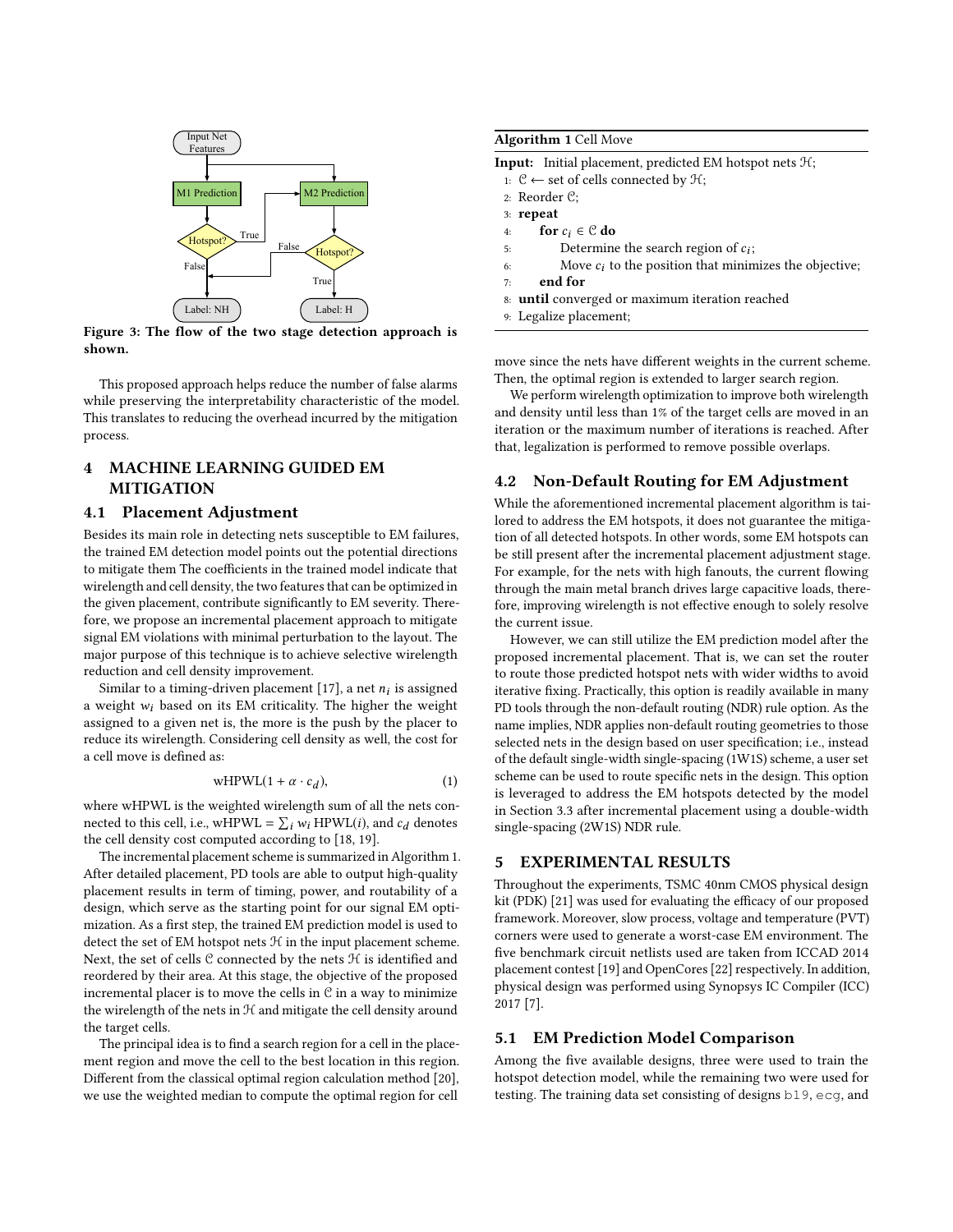<span id="page-3-2"></span>

Figure 3: The flow of the two stage detection approach is shown.

This proposed approach helps reduce the number of false alarms while preserving the interpretability characteristic of the model. This translates to reducing the overhead incurred by the mitigation process.

# <span id="page-3-0"></span>4 MACHINE LEARNING GUIDED EM MITIGATION

### <span id="page-3-4"></span>4.1 Placement Adjustment

Besides its main role in detecting nets susceptible to EM failures, the trained EM detection model points out the potential directions to mitigate them The coefficients in the trained model indicate that wirelength and cell density, the two features that can be optimized in the given placement, contribute significantly to EM severity. Therefore, we propose an incremental placement approach to mitigate signal EM violations with minimal perturbation to the layout. The major purpose of this technique is to achieve selective wirelength reduction and cell density improvement.

Similar to a timing-driven placement [\[17\]](#page-5-13), a net  $n_i$  is assigned<br>veight  $w_i$  based on its EM criticality. The higher the weight a weight  $w_i$  based on its EM criticality. The higher the weight assigned to a given net is, the more is the push by the placer to reduce its wirelength. Considering cell density as well, the cost for a cell move is defined as:

$$
wHPWL(1 + \alpha \cdot c_d), \tag{1}
$$

where wHPWL is the weighted wirelength sum of all the nets connected to this cell, i.e., wHPWL =  $\sum_i w_i$  HPWL(*i*), and  $c_d$  denotes the cell density cost computed according to [18, 19] the cell density cost computed according to [\[18,](#page-5-14) [19\]](#page-5-15).

The incremental placement scheme is summarized in Algorithm [1.](#page-3-3) After detailed placement, PD tools are able to output high-quality placement results in term of timing, power, and routability of a design, which serve as the starting point for our signal EM optimization. As a first step, the trained EM prediction model is used to detect the set of EM hotspot nets  $H$  in the input placement scheme. Next, the set of cells  $C$  connected by the nets  $H$  is identified and reordered by their area. At this stage, the objective of the proposed incremental placer is to move the cells in  $C$  in a way to minimize the wirelength of the nets in  $H$  and mitigate the cell density around the target cells.

The principal idea is to find a search region for a cell in the placement region and move the cell to the best location in this region. Different from the classical optimal region calculation method [\[20\]](#page-5-16), we use the weighted median to compute the optimal region for cell

## <span id="page-3-3"></span>Algorithm 1 Cell Move

|    | <b>Input:</b> Initial placement, predicted EM hotspot nets $H$ ; |
|----|------------------------------------------------------------------|
|    | 1: $\mathcal{C}$ ← set of cells connected by $\mathcal{H}$ ;     |
|    | 2: Reorder $C$ :                                                 |
|    | $3:$ repeat                                                      |
| 4: | for $c_i \in \mathcal{C}$ do                                     |
| 5: | Determine the search region of $c_i$ ;                           |
| 6: | Move $c_i$ to the position that minimizes the objective;         |
| 7: | end for                                                          |
|    |                                                                  |

8: until converged or maximum iteration reached

9: Legalize placement;

move since the nets have different weights in the current scheme. Then, the optimal region is extended to larger search region.

We perform wirelength optimization to improve both wirelength and density until less than 1% of the target cells are moved in an iteration or the maximum number of iterations is reached. After that, legalization is performed to remove possible overlaps.

## 4.2 Non-Default Routing for EM Adjustment

While the aforementioned incremental placement algorithm is tailored to address the EM hotspots, it does not guarantee the mitigation of all detected hotspots. In other words, some EM hotspots can be still present after the incremental placement adjustment stage. For example, for the nets with high fanouts, the current flowing through the main metal branch drives large capacitive loads, therefore, improving wirelength is not effective enough to solely resolve the current issue.

However, we can still utilize the EM prediction model after the proposed incremental placement. That is, we can set the router to route those predicted hotspot nets with wider widths to avoid iterative fixing. Practically, this option is readily available in many PD tools through the non-default routing (NDR) rule option. As the name implies, NDR applies non-default routing geometries to those selected nets in the design based on user specification; i.e., instead of the default single-width single-spacing (1W1S) scheme, a user set scheme can be used to route specific nets in the design. This option is leveraged to address the EM hotspots detected by the model in Section [3.3](#page-2-0) after incremental placement using a double-width single-spacing (2W1S) NDR rule.

#### <span id="page-3-5"></span><span id="page-3-1"></span>5 EXPERIMENTAL RESULTS

Throughout the experiments, TSMC 40nm CMOS physical design kit (PDK) [\[21\]](#page-5-17) was used for evaluating the efficacy of our proposed framework. Moreover, slow process, voltage and temperature (PVT) corners were used to generate a worst-case EM environment. The five benchmark circuit netlists used are taken from ICCAD 2014 placement contest [\[19\]](#page-5-15) and OpenCores [\[22\]](#page-5-18) respectively. In addition, physical design was performed using Synopsys IC Compiler (ICC) 2017 [\[7\]](#page-5-6).

## 5.1 EM Prediction Model Comparison

Among the five available designs, three were used to train the hotspot detection model, while the remaining two were used for testing. The training data set consisting of designs b19, ecg, and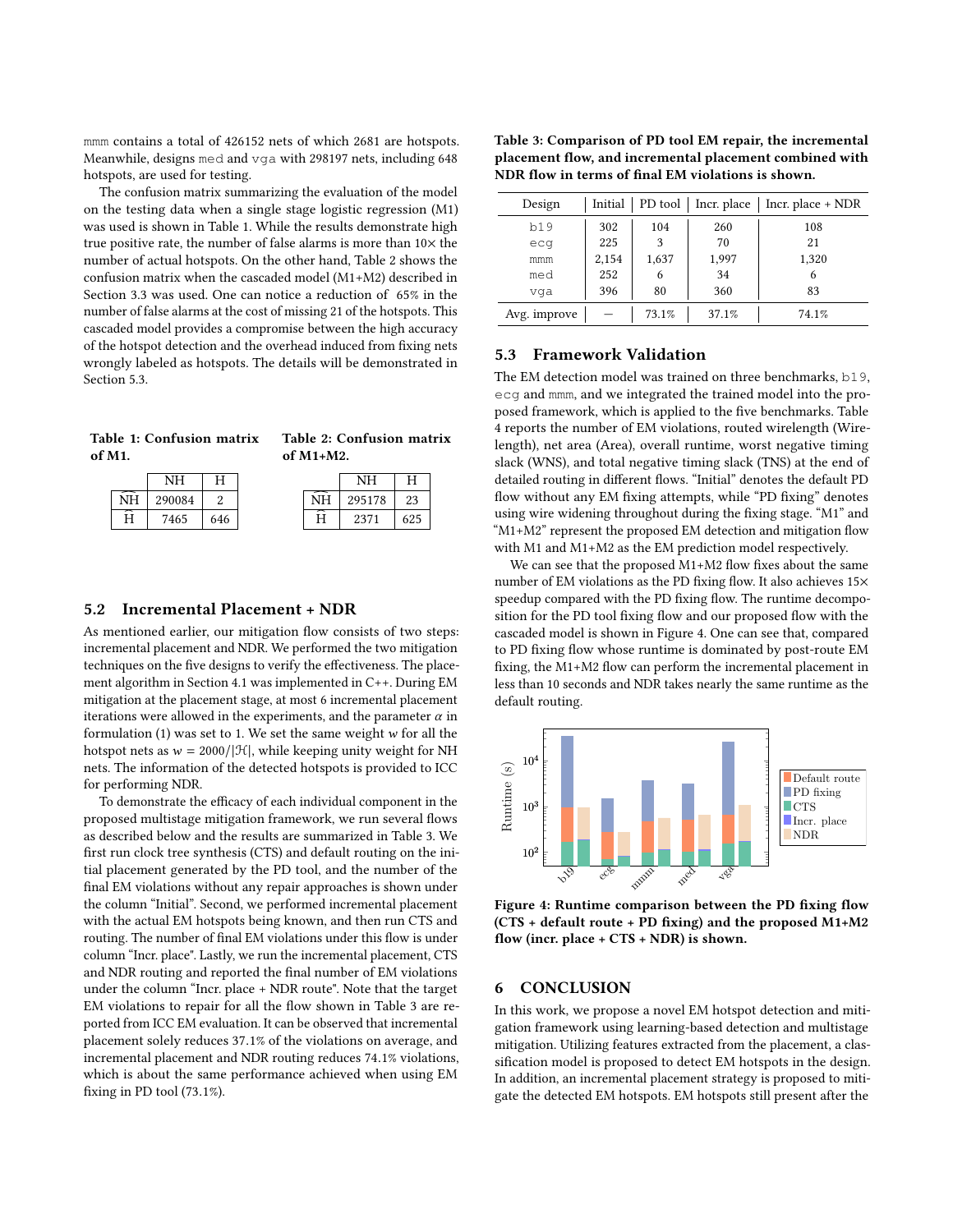mmm contains a total of 426152 nets of which 2681 are hotspots. Meanwhile, designs med and vga with 298197 nets, including 648 hotspots, are used for testing.

The confusion matrix summarizing the evaluation of the model on the testing data when a single stage logistic regression (M1) was used is shown in Table [1.](#page-4-1) While the results demonstrate high true positive rate, the number of false alarms is more than  $10\times$  the number of actual hotspots. On the other hand, Table [2](#page-4-1) shows the confusion matrix when the cascaded model (M1+M2) described in Section [3.3](#page-2-0) was used. One can notice a reduction of 65% in the number of false alarms at the cost of missing 21 of the hotspots. This cascaded model provides a compromise between the high accuracy of the hotspot detection and the overhead induced from fixing nets wrongly labeled as hotspots. The details will be demonstrated in Section [5.3.](#page-4-2)

<span id="page-4-1"></span>

|           |           |  | Table 1: Confusion matrix Table 2: Confusion matrix |       |  |  |  |
|-----------|-----------|--|-----------------------------------------------------|-------|--|--|--|
| of $M1$ . |           |  | of $M1+M2$ .                                        |       |  |  |  |
|           | $N H$ $H$ |  |                                                     | $N=1$ |  |  |  |

| 290084 |     |
|--------|-----|
| 7465   | 646 |

|    | NΗ     | H   |
|----|--------|-----|
| ΝH | 295178 | 23  |
| Н  | 2371   | 625 |

## 5.2 Incremental Placement + NDR

As mentioned earlier, our mitigation flow consists of two steps: incremental placement and NDR. We performed the two mitigation techniques on the five designs to verify the effectiveness. The placement algorithm in Section [4.1](#page-3-4) was implemented in C++. During EM mitigation at the placement stage, at most 6 incremental placement iterations were allowed in the experiments, and the parameter  $\alpha$  in formulation  $(1)$  was set to 1. We set the same weight w for all the hotspot nets as  $w = 2000/|\mathcal{H}|$ , while keeping unity weight for NH nets. The information of the detected hotspots is provided to ICC for performing NDR.

To demonstrate the efficacy of each individual component in the proposed multistage mitigation framework, we run several flows as described below and the results are summarized in Table [3.](#page-4-3) We first run clock tree synthesis (CTS) and default routing on the initial placement generated by the PD tool, and the number of the final EM violations without any repair approaches is shown under the column "Initial". Second, we performed incremental placement with the actual EM hotspots being known, and then run CTS and routing. The number of final EM violations under this flow is under column "Incr. place". Lastly, we run the incremental placement, CTS and NDR routing and reported the final number of EM violations under the column "Incr. place + NDR route". Note that the target EM violations to repair for all the flow shown in Table [3](#page-4-3) are reported from ICC EM evaluation. It can be observed that incremental placement solely reduces <sup>37</sup>.1% of the violations on average, and incremental placement and NDR routing reduces <sup>74</sup>.1% violations, which is about the same performance achieved when using EM fixing in PD tool (73.1%).

<span id="page-4-3"></span>

| Table 3: Comparison of PD tool EM repair, the incremental |
|-----------------------------------------------------------|
| placement flow, and incremental placement combined with   |
| NDR flow in terms of final EM violations is shown.        |

| Design                                  | Initial | PD tool | Incr. place | Incr. place + NDR |
|-----------------------------------------|---------|---------|-------------|-------------------|
| b19                                     | 302     | 104     | 260         | 108               |
| ecq                                     | 225     | 3       | 70          | 21                |
| mmm                                     | 2,154   | 1,637   | 1,997       | 1,320             |
| med                                     | 252     | 6       | 34          | 6                 |
| vga                                     | 396     | 80      | 360         | 83                |
| Avg. improve<br>73.1%<br>37.1%<br>74.1% |         |         |             |                   |

## <span id="page-4-2"></span>5.3 Framework Validation

The EM detection model was trained on three benchmarks, b19, ecg and mmm, and we integrated the trained model into the proposed framework, which is applied to the five benchmarks. Table [4](#page-5-19) reports the number of EM violations, routed wirelength (Wirelength), net area (Area), overall runtime, worst negative timing slack (WNS), and total negative timing slack (TNS) at the end of detailed routing in different flows. "Initial" denotes the default PD flow without any EM fixing attempts, while "PD fixing" denotes using wire widening throughout during the fixing stage. "M1" and "M1+M2" represent the proposed EM detection and mitigation flow with M1 and M1+M2 as the EM prediction model respectively.

We can see that the proposed M1+M2 flow fixes about the same number of EM violations as the PD fixing flow. It also achieves 15× speedup compared with the PD fixing flow. The runtime decomposition for the PD tool fixing flow and our proposed flow with the cascaded model is shown in Figure [4.](#page-4-4) One can see that, compared to PD fixing flow whose runtime is dominated by post-route EM fixing, the M1+M2 flow can perform the incremental placement in less than 10 seconds and NDR takes nearly the same runtime as the default routing.

<span id="page-4-4"></span>

Figure 4: Runtime comparison between the PD fixing flow (CTS + default route + PD fixing) and the proposed M1+M2 flow (incr. place + CTS + NDR) is shown.

## <span id="page-4-0"></span>6 CONCLUSION

In this work, we propose a novel EM hotspot detection and mitigation framework using learning-based detection and multistage mitigation. Utilizing features extracted from the placement, a classification model is proposed to detect EM hotspots in the design. In addition, an incremental placement strategy is proposed to mitigate the detected EM hotspots. EM hotspots still present after the